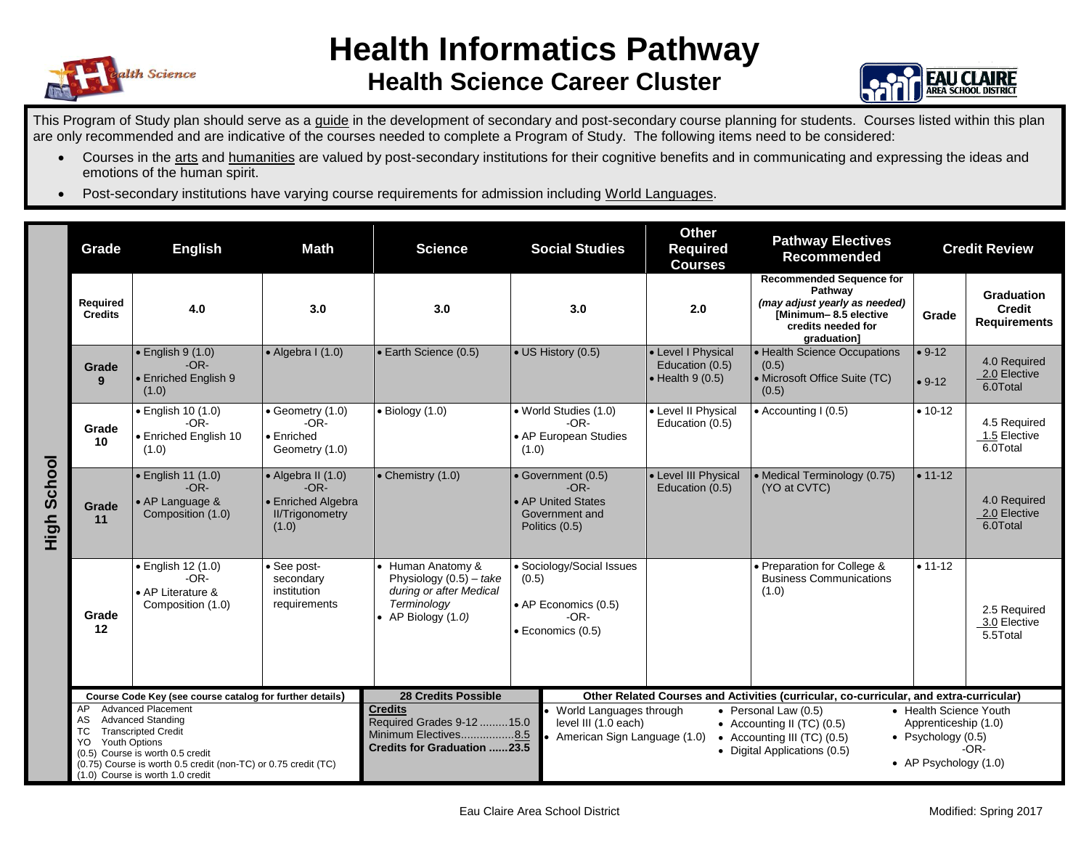

## **Health Informatics Pathway Health Science Career Cluster**



This Program of Study plan should serve as a guide in the development of secondary and post-secondary course planning for students. Courses listed within this plan are only recommended and are indicative of the courses needed to complete a Program of Study. The following items need to be considered:

- Courses in the arts and humanities are valued by post-secondary institutions for their cognitive benefits and in communicating and expressing the ideas and emotions of the human spirit.
- Post-secondary institutions have varying course requirements for admission including World Languages.

|                | Grade                                                                                                                                                                                                                                                                          | <b>Math</b><br><b>English</b>                                                  |                                                                                       | <b>Social Studies</b><br><b>Science</b>                                                                          |                                                                                           |                                                                                                                                                                                                                                                                                                                         | <b>Other</b><br><b>Pathway Electives</b><br><b>Required</b><br><b>Recommended</b><br><b>Courses</b> |                                                                                                                                           | <b>Credit Review</b> |                                                           |
|----------------|--------------------------------------------------------------------------------------------------------------------------------------------------------------------------------------------------------------------------------------------------------------------------------|--------------------------------------------------------------------------------|---------------------------------------------------------------------------------------|------------------------------------------------------------------------------------------------------------------|-------------------------------------------------------------------------------------------|-------------------------------------------------------------------------------------------------------------------------------------------------------------------------------------------------------------------------------------------------------------------------------------------------------------------------|-----------------------------------------------------------------------------------------------------|-------------------------------------------------------------------------------------------------------------------------------------------|----------------------|-----------------------------------------------------------|
|                | Required<br><b>Credits</b>                                                                                                                                                                                                                                                     | 4.0                                                                            | 3.0                                                                                   | 3.0                                                                                                              |                                                                                           | 3.0                                                                                                                                                                                                                                                                                                                     | 2.0                                                                                                 | <b>Recommended Sequence for</b><br>Pathway<br>(may adjust yearly as needed)<br>[Minimum-8.5 elective<br>credits needed for<br>graduation] | Grade                | <b>Graduation</b><br><b>Credit</b><br><b>Requirements</b> |
|                | Grade<br>9                                                                                                                                                                                                                                                                     | $\bullet$ English 9 (1.0)<br>$-OR-$<br>• Enriched English 9<br>(1.0)           | $\bullet$ Algebra I (1.0)                                                             | • Earth Science (0.5)                                                                                            |                                                                                           | • US History (0.5)                                                                                                                                                                                                                                                                                                      | • Level I Physical<br>Education (0.5)<br>$\bullet$ Health 9 (0.5)                                   | • Health Science Occupations<br>(0.5)<br>• Microsoft Office Suite (TC)<br>(0.5)                                                           | $• 9-12$<br>$• 9-12$ | 4.0 Required<br>2.0 Elective<br>6.0Total                  |
|                | Grade<br>10                                                                                                                                                                                                                                                                    | • English 10 (1.0)<br>$-OR-$<br>• Enriched English 10<br>(1.0)                 | $\bullet$ Geometry $(1.0)$<br>$-OR-$<br>$\bullet$ Enriched<br>Geometry (1.0)          | $\bullet$ Biology (1.0)                                                                                          | (1.0)                                                                                     | · World Studies (1.0)<br>$-OR-$<br>• AP European Studies                                                                                                                                                                                                                                                                | • Level II Physical<br>Education (0.5)                                                              | • Accounting I (0.5)                                                                                                                      | $• 10 - 12$          | 4.5 Required<br>1.5 Elective<br>6.0Total                  |
| School<br>High | Grade<br>11                                                                                                                                                                                                                                                                    | $\bullet$ English 11 (1.0)<br>$-OR-$<br>• AP Language &<br>Composition (1.0)   | • Algebra II (1.0)<br>$-OR-$<br>• Enriched Algebra<br><b>II/Trigonometry</b><br>(1.0) | • Chemistry (1.0)                                                                                                | • Government (0.5)<br>$-OR-$<br>• AP United States<br>Government and<br>Politics (0.5)    |                                                                                                                                                                                                                                                                                                                         | • Level III Physical<br>Education (0.5)                                                             | • Medical Terminology (0.75)<br>(YO at CVTC)                                                                                              | $• 11 - 12$          | 4.0 Required<br>2.0 Elective<br>6.0Total                  |
|                | Grade<br>12                                                                                                                                                                                                                                                                    | $\bullet$ English 12 (1.0)<br>$-OR-$<br>• AP Literature &<br>Composition (1.0) | · See post-<br>secondary<br>institution<br>requirements                               | • Human Anatomy &<br>Physiology $(0.5)$ – take<br>during or after Medical<br>Terminology<br>• AP Biology $(1.0)$ | • Sociology/Social Issues<br>(0.5)<br>• AP Economics (0.5)<br>$-OR-$<br>• Economics (0.5) |                                                                                                                                                                                                                                                                                                                         |                                                                                                     | • Preparation for College &<br><b>Business Communications</b><br>(1.0)                                                                    | $• 11 - 12$          | 2.5 Required<br>3.0 Elective<br>5.5Total                  |
|                | Course Code Key (see course catalog for further details)                                                                                                                                                                                                                       |                                                                                |                                                                                       | <b>28 Credits Possible</b>                                                                                       |                                                                                           | Other Related Courses and Activities (curricular, co-curricular, and extra-curricular)                                                                                                                                                                                                                                  |                                                                                                     |                                                                                                                                           |                      |                                                           |
|                | <b>Advanced Placement</b><br>AP<br><b>Advanced Standing</b><br>AS<br><b>TC</b><br><b>Transcripted Credit</b><br>Youth Options<br>YO.<br>(0.5) Course is worth 0.5 credit<br>(0.75) Course is worth 0.5 credit (non-TC) or 0.75 credit (TC)<br>(1.0) Course is worth 1.0 credit |                                                                                |                                                                                       | <b>Credits</b><br>Required Grades 9-12 15.0<br>Minimum Electives8.5<br><b>Credits for Graduation 23.5</b>        |                                                                                           | • World Languages through<br>• Health Science Youth<br>• Personal Law (0.5)<br>level III (1.0 each)<br>Apprenticeship (1.0)<br>• Accounting II (TC) $(0.5)$<br>American Sign Language (1.0)<br>• Psychology $(0.5)$<br>• Accounting III (TC) (0.5)<br>$-OR-$<br>• Digital Applications (0.5)<br>• AP Psychology $(1.0)$ |                                                                                                     |                                                                                                                                           |                      |                                                           |